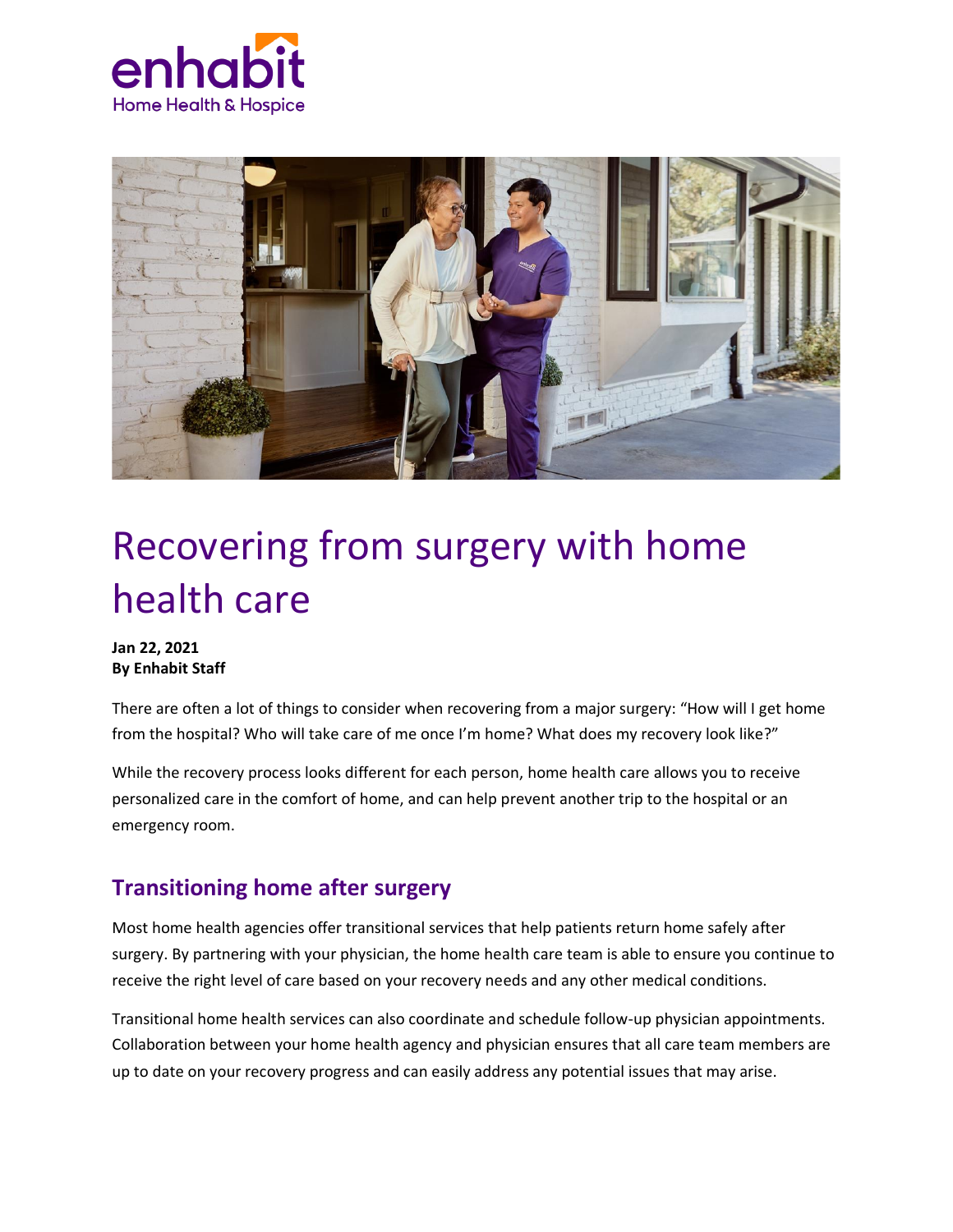



# Recovering from surgery with home health care

#### **Jan 22, 2021 By Enhabit Staff**

There are often a lot of things to consider when recovering from a major surgery: "How will I get home from the hospital? Who will take care of me once I'm home? What does my recovery look like?"

While the recovery process looks different for each person, home health care allows you to receive personalized care in the comfort of home, and can help prevent another trip to the hospital or an emergency room.

## **Transitioning home after surgery**

Most home health agencies offer transitional services that help patients return home safely after surgery. By partnering with your physician, the home health care team is able to ensure you continue to receive the right level of care based on your recovery needs and any other medical conditions.

Transitional home health services can also coordinate and schedule follow-up physician appointments. Collaboration between your home health agency and physician ensures that all care team members are up to date on your recovery progress and can easily address any potential issues that may arise.